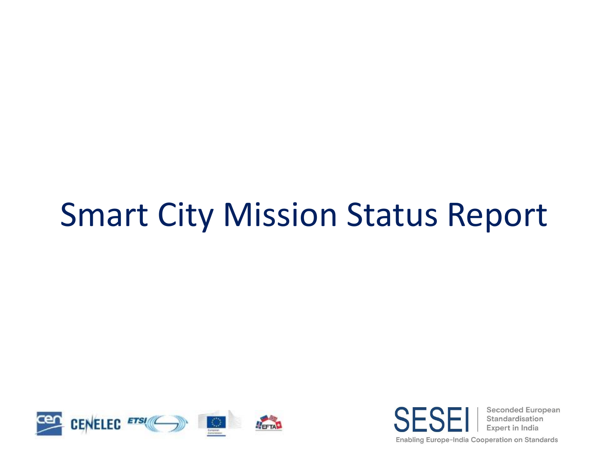# Smart City Mission Status Report



**Seconded European** Standardisation **Expert in India** Enabling Europe-India Cooperation on Standards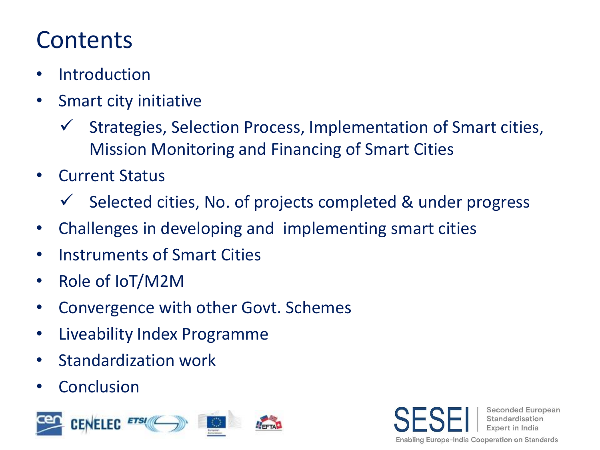## **Contents**

- Introduction
- Smart city initiative
	- ✓ Strategies, Selection Process, Implementation of Smart cities, Mission Monitoring and Financing of Smart Cities
- Current Status
	- ✓ Selected cities, No. of projects completed & under progress
- Challenges in developing and implementing smart cities
- Instruments of Smart Cities
- Role of IoT/M2M
- Convergence with other Govt. Schemes
- Liveability Index Programme
- Standardization work
- Conclusion



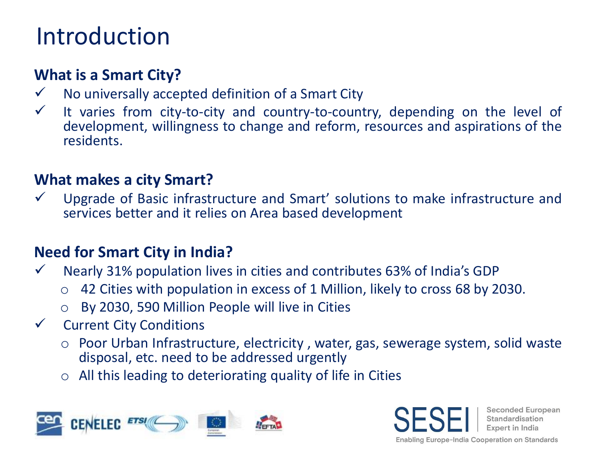## Introduction

#### **What is a Smart City?**

- ✓ No universally accepted definition of a Smart City
- $\checkmark$  It varies from city-to-city and country-to-country, depending on the level of development, willingness to change and reform, resources and aspirations of the residents.

#### **What makes a city Smart?**

Upgrade of Basic infrastructure and Smart' solutions to make infrastructure and services better and it relies on Area based development

#### **Need for Smart City in India?**

- ✓ Nearly 31% population lives in cities and contributes 63% of India's GDP
	- o 42 Cities with population in excess of 1 Million, likely to cross 68 by 2030.
	- o By 2030, 590 Million People will live in Cities
- ✓ Current City Conditions
	- o Poor Urban Infrastructure, electricity , water, gas, sewerage system, solid waste disposal, etc. need to be addressed urgently
	- $\circ$  All this leading to deteriorating quality of life in Cities



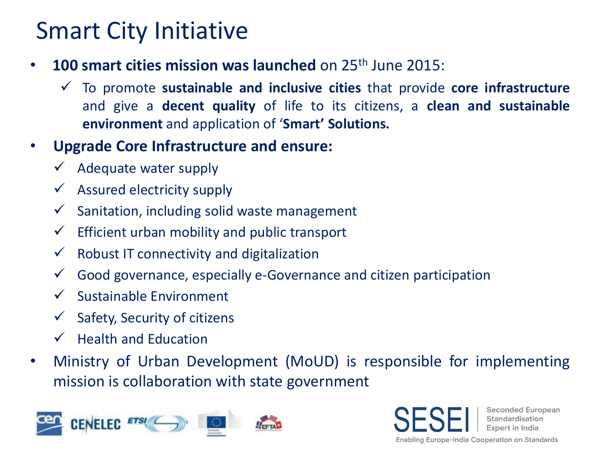## Smart City Initiative

- **100 smart cities mission was launched** on 25th June 2015:
	- ✓ To promote **sustainable and inclusive cities** that provide **core infrastructure** and give a **decent quality** of life to its citizens, a **clean and sustainable environment** and application of '**Smart' Solutions.**
- **Upgrade Core Infrastructure and ensure:**
	- Adequate water supply
	- $\checkmark$  Assured electricity supply
	- $\checkmark$  Sanitation, including solid waste management
	- $\checkmark$  Efficient urban mobility and public transport
	- $\checkmark$  Robust IT connectivity and digitalization
	- $\checkmark$  Good governance, especially e-Governance and citizen participation
	- ✓ Sustainable Environment
	- $\checkmark$  Safety, Security of citizens
	- $\checkmark$  Health and Education
- Ministry of Urban Development (MoUD) is responsible for implementing mission is collaboration with state government



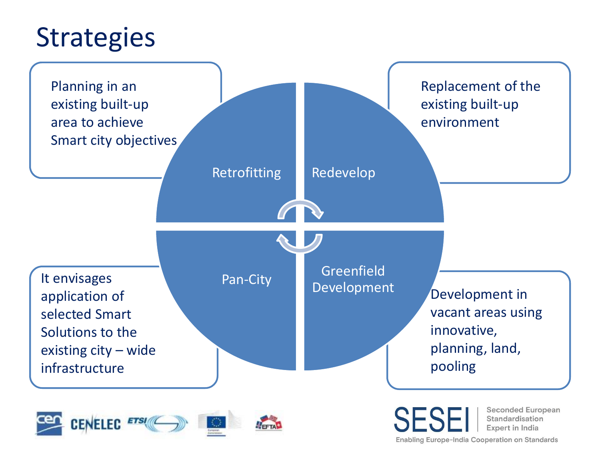## **Strategies**



**Enabling Europe-India Cooperation on Standards**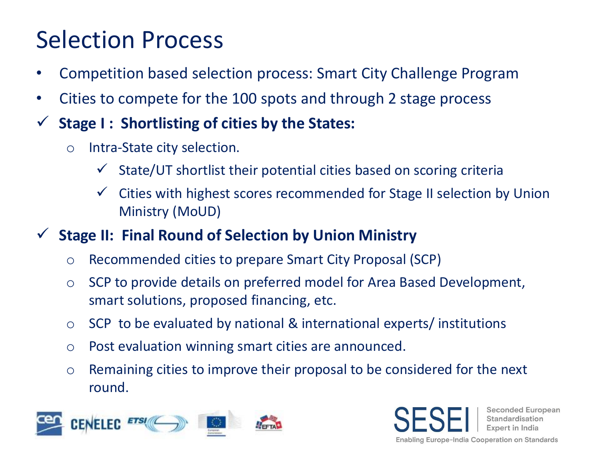## Selection Process

- Competition based selection process: Smart City Challenge Program
- Cities to compete for the 100 spots and through 2 stage process
- ✓ **Stage I : Shortlisting of cities by the States:**
	- o Intra-State city selection.
		- State/UT shortlist their potential cities based on scoring criteria
		- Cities with highest scores recommended for Stage II selection by Union Ministry (MoUD)
- **Stage II: Final Round of Selection by Union Ministry** 
	- o Recommended cities to prepare Smart City Proposal (SCP)
	- o SCP to provide details on preferred model for Area Based Development, smart solutions, proposed financing, etc.
	- o SCP to be evaluated by national & international experts/ institutions
	- o Post evaluation winning smart cities are announced.
	- o Remaining cities to improve their proposal to be considered for the next round.



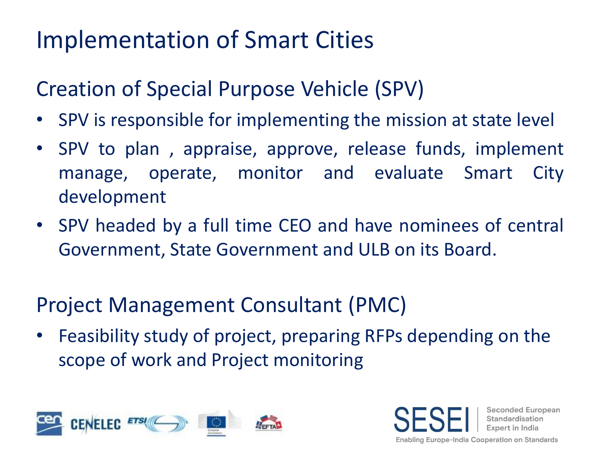## Implementation of Smart Cities

### Creation of Special Purpose Vehicle (SPV)

- SPV is responsible for implementing the mission at state level
- SPV to plan , appraise, approve, release funds, implement manage, operate, monitor and evaluate Smart City development
- SPV headed by a full time CEO and have nominees of central Government, State Government and ULB on its Board.

### Project Management Consultant (PMC)

• Feasibility study of project, preparing RFPs depending on the scope of work and Project monitoring



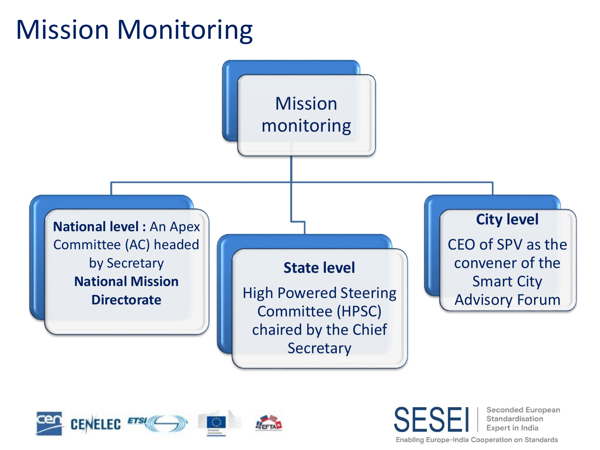## Mission Monitoring





**Seconded European** Standardisation **Expert in India** 

**Enabling Europe-India Cooperation on Standards**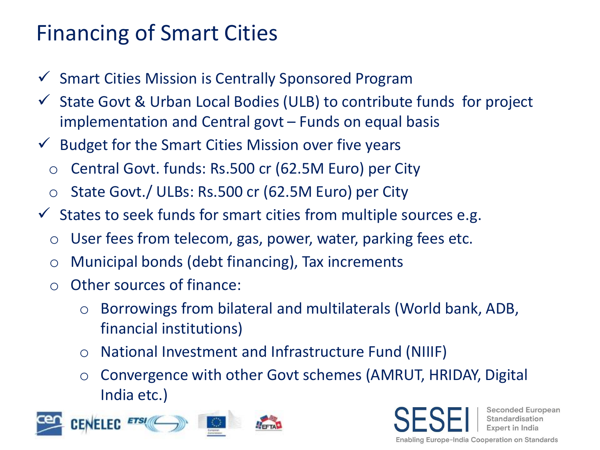### Financing of Smart Cities

- ✓ Smart Cities Mission is Centrally Sponsored Program
- $\checkmark$  State Govt & Urban Local Bodies (ULB) to contribute funds for project implementation and Central govt – Funds on equal basis
- $\checkmark$  Budget for the Smart Cities Mission over five years
	- o Central Govt. funds: Rs.500 cr (62.5M Euro) per City
	- o State Govt./ ULBs: Rs.500 cr (62.5M Euro) per City
- $\checkmark$  States to seek funds for smart cities from multiple sources e.g.
	- $\circ$  User fees from telecom, gas, power, water, parking fees etc.
	- o Municipal bonds (debt financing), Tax increments
	- o Other sources of finance:
		- o Borrowings from bilateral and multilaterals (World bank, ADB, financial institutions)
		- o National Investment and Infrastructure Fund (NIIIF)
		- o Convergence with other Govt schemes (AMRUT, HRIDAY, Digital India etc.)



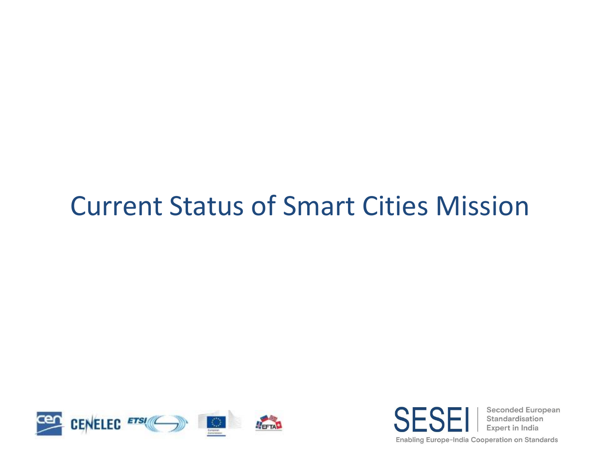## Current Status of Smart Cities Mission



**Seconded European** SF Standardisation Expert in India Enabling Europe-India Cooperation on Standards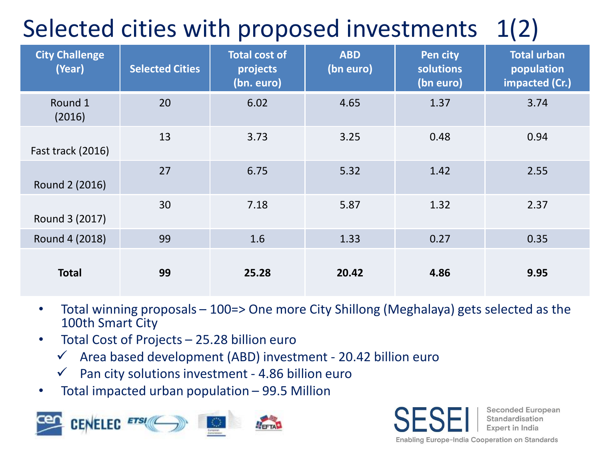## Selected cities with proposed investments 1(2)

| <b>City Challenge</b><br>(Year) | <b>Selected Cities</b> | <b>Total cost of</b><br>projects<br>(bn. euro) | <b>ABD</b><br>(bn euro) | Pen city<br>solutions<br>(bn euro) | <b>Total urban</b><br>population<br>impacted (Cr.) |
|---------------------------------|------------------------|------------------------------------------------|-------------------------|------------------------------------|----------------------------------------------------|
| Round 1<br>(2016)               | 20                     | 6.02                                           | 4.65                    | 1.37                               | 3.74                                               |
| Fast track (2016)               | 13                     | 3.73                                           | 3.25                    | 0.48                               | 0.94                                               |
| Round 2 (2016)                  | 27                     | 6.75                                           | 5.32                    | 1.42                               | 2.55                                               |
| Round 3 (2017)                  | 30                     | 7.18                                           | 5.87                    | 1.32                               | 2.37                                               |
| Round 4 (2018)                  | 99                     | 1.6                                            | 1.33                    | 0.27                               | 0.35                                               |
| <b>Total</b>                    | 99                     | 25.28                                          | 20.42                   | 4.86                               | 9.95                                               |

- Total winning proposals 100=> One more City Shillong (Meghalaya) gets selected as the 100th Smart City
- Total Cost of Projects 25.28 billion euro
	- $\checkmark$  Area based development (ABD) investment 20.42 billion euro
	- $\checkmark$  Pan city solutions investment 4.86 billion euro
- Total impacted urban population 99.5 Million



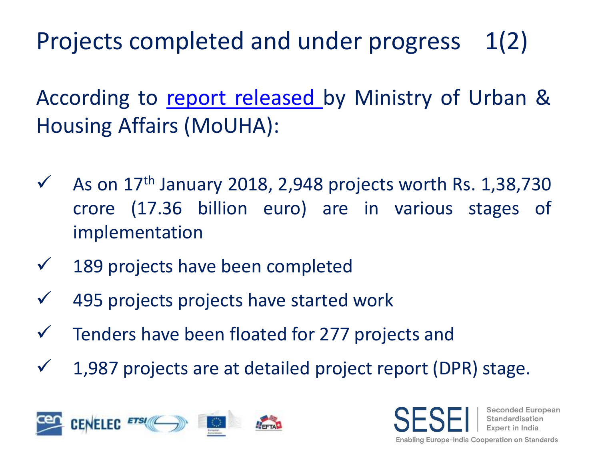Projects completed and under progress 1(2)

According to report [released](http://pib.nic.in/PressReleaseIframePage.aspx?PRID=1517205) by Ministry of Urban & Housing Affairs (MoUHA):

- $\checkmark$  As on 17<sup>th</sup> January 2018, 2,948 projects worth Rs. 1,38,730 crore (17.36 billion euro) are in various stages of implementation
- $\checkmark$  189 projects have been completed
- $\checkmark$  495 projects projects have started work
- $\checkmark$  Tenders have been floated for 277 projects and
- $\checkmark$  1,987 projects are at detailed project report (DPR) stage.



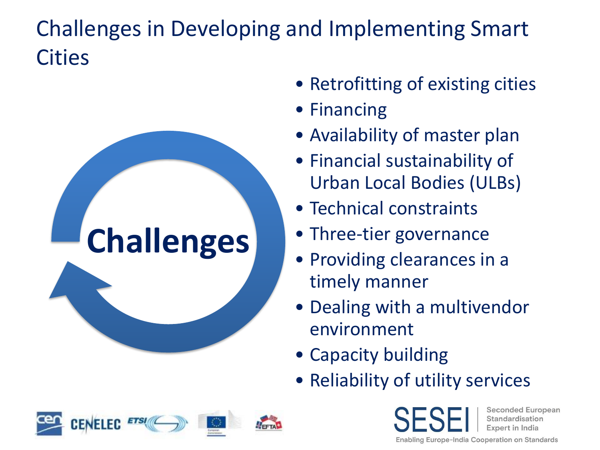### Challenges in Developing and Implementing Smart **Cities**



- Retrofitting of existing cities
- Financing
- Availability of master plan
- Financial sustainability of Urban Local Bodies (ULBs)
- Technical constraints
- Three-tier governance
- Providing clearances in a timely manner
- Dealing with a multivendor environment
- Capacity building
- Reliability of utility services



**Seconded European** Standardisation Expert in India

**Enabling Europe-India Cooperation on Standards**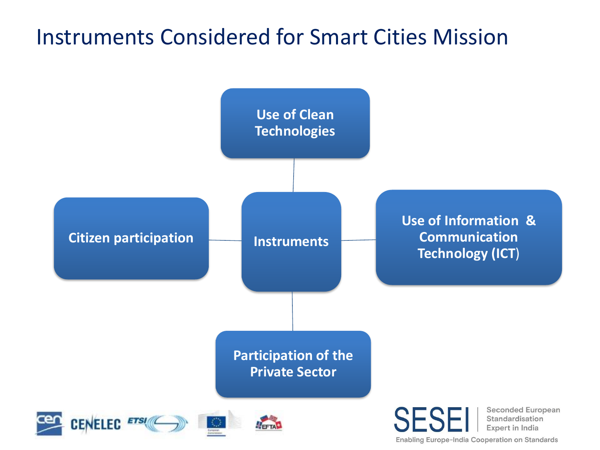### Instruments Considered for Smart Cities Mission

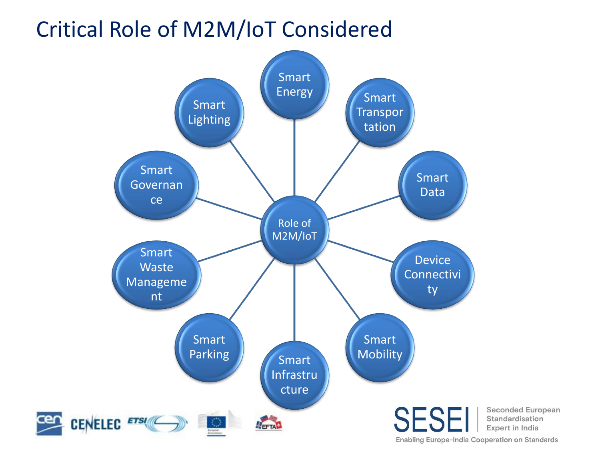### Critical Role of M2M/IoT Considered

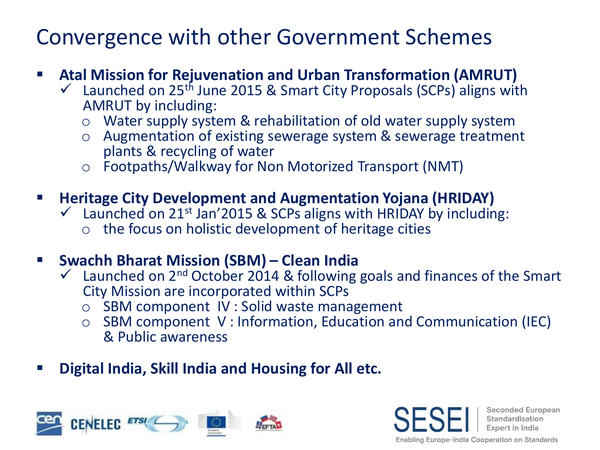### Convergence with other Government Schemes

#### ▪ **Atal Mission for Rejuvenation and Urban Transformation (AMRUT)**

- $\checkmark$  Launched on 25<sup>th</sup> June 2015 & Smart City Proposals (SCPs) aligns with AMRUT by including:
	- o Water supply system & rehabilitation of old water supply system
	- o Augmentation of existing sewerage system & sewerage treatment plants & recycling of water
	- o Footpaths/Walkway for Non Motorized Transport (NMT)

#### ▪ **Heritage City Development and Augmentation Yojana (HRIDAY)**

- $\checkmark$  Launched on 21<sup>st</sup> Jan'2015 & SCPs aligns with HRIDAY by including:
	- the focus on holistic development of heritage cities

#### ▪ **Swachh Bharat Mission (SBM) – Clean India**

- $\checkmark$  Launched on 2<sup>nd</sup> October 2014 & following goals and finances of the Smart City Mission are incorporated within SCPs
	- o SBM component IV : Solid waste management
	- o SBM component V : Information, Education and Communication (IEC) & Public awareness
- **Digital India, Skill India and Housing for All etc.**



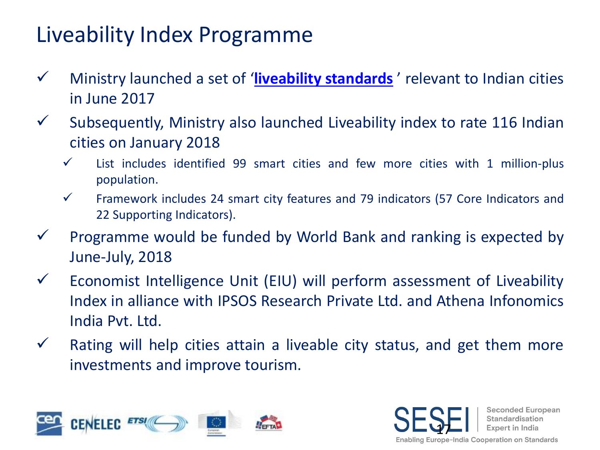### Liveability Index Programme

- ✓ Ministry launched a set of '**liveability [standards](http://smartcities.gov.in/upload/uploadfiles/files/LiveabilityStandards.pdf)** ' relevant to Indian cities in June 2017
- $\checkmark$  Subsequently, Ministry also launched Liveability index to rate 116 Indian cities on January 2018
	- $\checkmark$  List includes identified 99 smart cities and few more cities with 1 million-plus population.
	- $\checkmark$  Framework includes 24 smart city features and 79 indicators (57 Core Indicators and 22 Supporting Indicators).
- $\checkmark$  Programme would be funded by World Bank and ranking is expected by June-July, 2018
- $\checkmark$  Economist Intelligence Unit (EIU) will perform assessment of Liveability Index in alliance with IPSOS Research Private Ltd. and Athena Infonomics India Pvt. Ltd.
- $\checkmark$  Rating will help cities attain a liveable city status, and get them more investments and improve tourism.



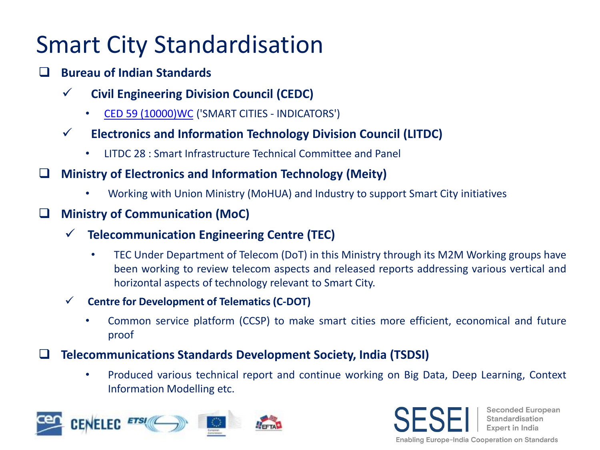## Smart City Standardisation

- ❑ **Bureau of Indian Standards**
	- ✓ **Civil Engineering Division Council (CEDC)**
		- CED 59 [\(10000\)WC](http://www.bis.org.in/sf/ced/CED59(10000)_30092016.pdf) ('SMART CITIES INDICATORS')
	- ✓ **Electronics and Information Technology Division Council (LITDC)**
		- LITDC 28 : Smart Infrastructure Technical Committee and Panel
- ❑ **Ministry of Electronics and Information Technology (Meity)**
	- Working with Union Ministry (MoHUA) and Industry to support Smart City initiatives
- ❑ **Ministry of Communication (MoC)**
	- ✓ **Telecommunication Engineering Centre (TEC)**
		- TEC Under Department of Telecom (DoT) in this Ministry through its M2M Working groups have been working to review telecom aspects and released reports addressing various vertical and horizontal aspects of technology relevant to Smart City.
	- ✓ **Centre for Development of Telematics (C-DOT)**
		- Common service platform (CCSP) to make smart cities more efficient, economical and future proof
- ❑ **Telecommunications Standards Development Society, India (TSDSI)**
	- Produced various technical report and continue working on Big Data, Deep Learning, Context Information Modelling etc.



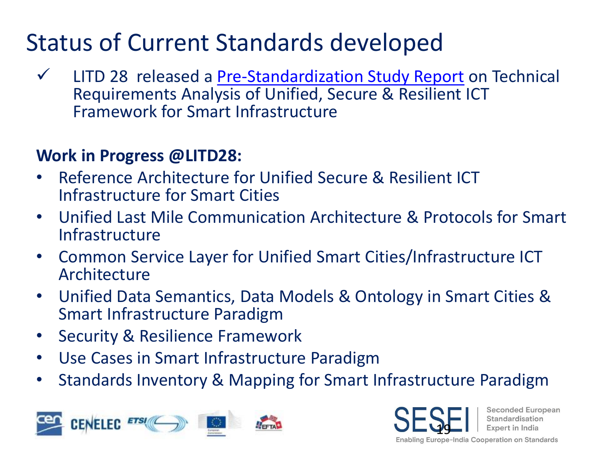## Status of Current Standards developed

✓ LITD 28 released a [Pre-Standardization Study Report](http://www.bis.org.in/other/USR_ICT_FSI_V_1_0.pdf) on Technical Requirements Analysis of Unified, Secure & Resilient ICT Framework for Smart Infrastructure

#### **Work in Progress @LITD28:**

- Reference Architecture for Unified Secure & Resilient ICT Infrastructure for Smart Cities
- Unified Last Mile Communication Architecture & Protocols for Smart Infrastructure
- Common Service Layer for Unified Smart Cities/Infrastructure ICT Architecture
- Unified Data Semantics, Data Models & Ontology in Smart Cities & Smart Infrastructure Paradigm
- Security & Resilience Framework
- Use Cases in Smart Infrastructure Paradigm
- Standards Inventory & Mapping for Smart Infrastructure Paradigm



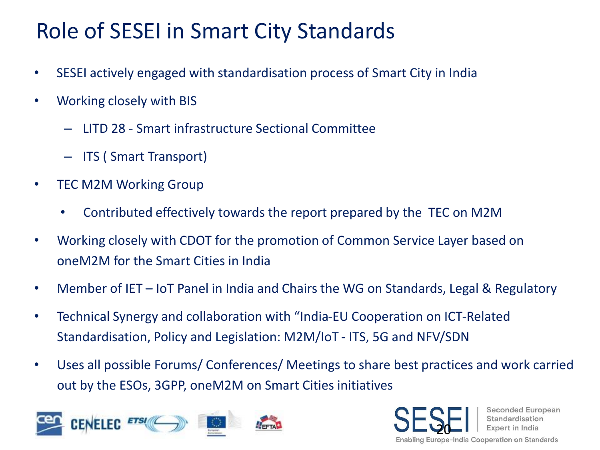### Role of SESEI in Smart City Standards

- SESEI actively engaged with standardisation process of Smart City in India
- Working closely with BIS
	- LITD 28 Smart infrastructure Sectional Committee
	- ITS ( Smart Transport)
- TEC M2M Working Group
	- Contributed effectively towards the report prepared by the TEC on M2M
- Working closely with CDOT for the promotion of Common Service Layer based on oneM2M for the Smart Cities in India
- Member of IET IoT Panel in India and Chairs the WG on Standards, Legal & Regulatory
- Technical Synergy and collaboration with "India-EU Cooperation on ICT-Related Standardisation, Policy and Legislation: M2M/IoT - ITS, 5G and NFV/SDN
- Uses all possible Forums/ Conferences/ Meetings to share best practices and work carried out by the ESOs, 3GPP, oneM2M on Smart Cities initiatives



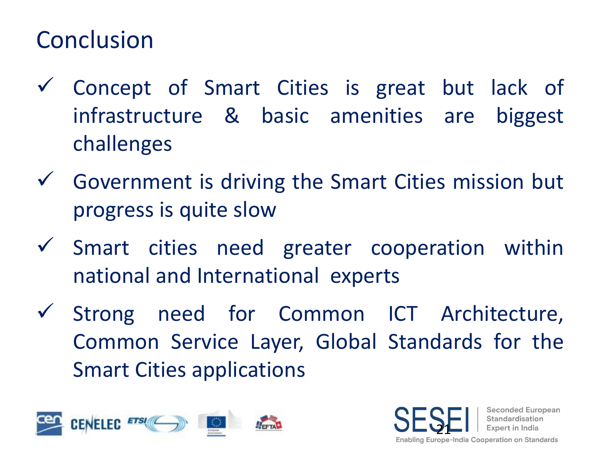## Conclusion

- ✓ Concept of Smart Cities is great but lack of infrastructure & basic amenities are biggest challenges
- $\checkmark$  Government is driving the Smart Cities mission but progress is quite slow
- ✓ Smart cities need greater cooperation within national and International experts
- ✓ Strong need for Common ICT Architecture, Common Service Layer, Global Standards for the Smart Cities applications